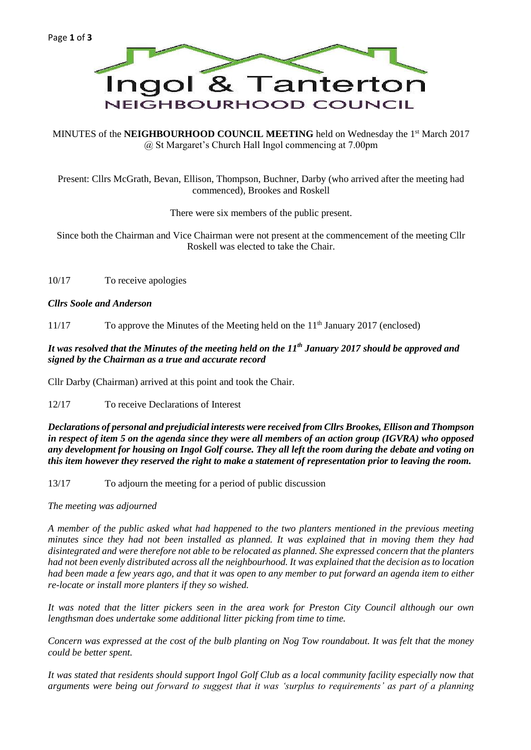

MINUTES of the **NEIGHBOURHOOD COUNCIL MEETING** held on Wednesday the 1<sup>st</sup> March 2017 @ St Margaret's Church Hall Ingol commencing at 7.00pm

Present: Cllrs McGrath, Bevan, Ellison, Thompson, Buchner, Darby (who arrived after the meeting had commenced), Brookes and Roskell

There were six members of the public present.

Since both the Chairman and Vice Chairman were not present at the commencement of the meeting Cllr Roskell was elected to take the Chair.

10/17 To receive apologies

#### *Cllrs Soole and Anderson*

11/17 To approve the Minutes of the Meeting held on the 11th January 2017 (enclosed)

### *It was resolved that the Minutes of the meeting held on the 11th January 2017 should be approved and signed by the Chairman as a true and accurate record*

Cllr Darby (Chairman) arrived at this point and took the Chair.

12/17 To receive Declarations of Interest

*Declarations of personal and prejudicial interests were received from Cllrs Brookes, Ellison and Thompson in respect of item 5 on the agenda since they were all members of an action group (IGVRA) who opposed any development for housing on Ingol Golf course. They all left the room during the debate and voting on this item however they reserved the right to make a statement of representation prior to leaving the room.*

13/17 To adjourn the meeting for a period of public discussion

*The meeting was adjourned*

*A member of the public asked what had happened to the two planters mentioned in the previous meeting minutes since they had not been installed as planned. It was explained that in moving them they had disintegrated and were therefore not able to be relocated as planned. She expressed concern that the planters had not been evenly distributed across all the neighbourhood. It was explained that the decision as to location had been made a few years ago, and that it was open to any member to put forward an agenda item to either re-locate or install more planters if they so wished.*

*It was noted that the litter pickers seen in the area work for Preston City Council although our own lengthsman does undertake some additional litter picking from time to time.*

*Concern was expressed at the cost of the bulb planting on Nog Tow roundabout. It was felt that the money could be better spent.*

*It was stated that residents should support Ingol Golf Club as a local community facility especially now that arguments were being out forward to suggest that it was 'surplus to requirements' as part of a planning*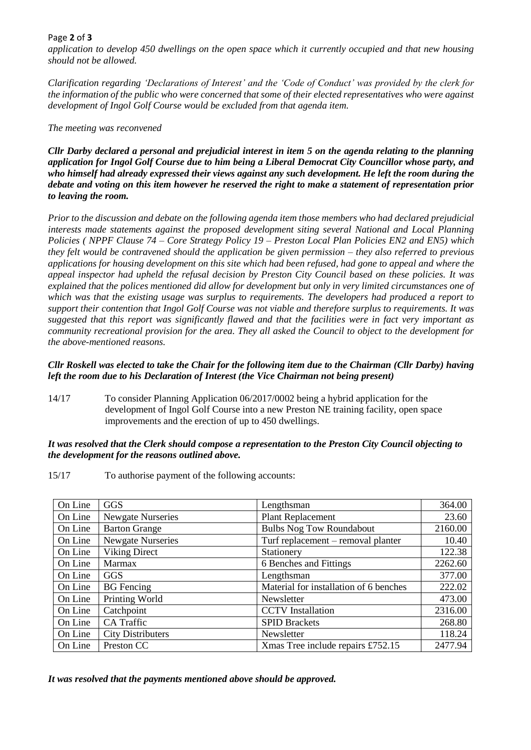# Page **2** of **3**

*application to develop 450 dwellings on the open space which it currently occupied and that new housing should not be allowed.*

*Clarification regarding 'Declarations of Interest' and the 'Code of Conduct' was provided by the clerk for the information of the public who were concerned that some of their elected representatives who were against development of Ingol Golf Course would be excluded from that agenda item.*

### *The meeting was reconvened*

*Cllr Darby declared a personal and prejudicial interest in item 5 on the agenda relating to the planning application for Ingol Golf Course due to him being a Liberal Democrat City Councillor whose party, and who himself had already expressed their views against any such development. He left the room during the debate and voting on this item however he reserved the right to make a statement of representation prior to leaving the room.*

*Prior to the discussion and debate on the following agenda item those members who had declared prejudicial interests made statements against the proposed development siting several National and Local Planning Policies ( NPPF Clause 74 – Core Strategy Policy 19 – Preston Local Plan Policies EN2 and EN5) which they felt would be contravened should the application be given permission – they also referred to previous applications for housing development on this site which had been refused, had gone to appeal and where the appeal inspector had upheld the refusal decision by Preston City Council based on these policies. It was explained that the polices mentioned did allow for development but only in very limited circumstances one of which was that the existing usage was surplus to requirements. The developers had produced a report to support their contention that Ingol Golf Course was not viable and therefore surplus to requirements. It was suggested that this report was significantly flawed and that the facilities were in fact very important as community recreational provision for the area. They all asked the Council to object to the development for the above-mentioned reasons.*

### *Cllr Roskell was elected to take the Chair for the following item due to the Chairman (Cllr Darby) having left the room due to his Declaration of Interest (the Vice Chairman not being present)*

14/17 To consider Planning Application 06/2017/0002 being a hybrid application for the development of Ingol Golf Course into a new Preston NE training facility, open space improvements and the erection of up to 450 dwellings.

#### *It was resolved that the Clerk should compose a representation to the Preston City Council objecting to the development for the reasons outlined above.*

15/17 To authorise payment of the following accounts:

| On Line | <b>GGS</b>               | Lengthsman                             | 364.00  |
|---------|--------------------------|----------------------------------------|---------|
| On Line | <b>Newgate Nurseries</b> | Plant Replacement                      | 23.60   |
| On Line | <b>Barton Grange</b>     | <b>Bulbs Nog Tow Roundabout</b>        | 2160.00 |
| On Line | <b>Newgate Nurseries</b> | Turf replacement – removal planter     | 10.40   |
| On Line | Viking Direct            | Stationery                             | 122.38  |
| On Line | <b>Marmax</b>            | 6 Benches and Fittings                 | 2262.60 |
| On Line | GGS                      | Lengthsman                             | 377.00  |
| On Line | <b>BG</b> Fencing        | Material for installation of 6 benches | 222.02  |
| On Line | Printing World           | Newsletter                             | 473.00  |
| On Line | Catchpoint               | <b>CCTV</b> Installation               | 2316.00 |
| On Line | <b>CA</b> Traffic        | <b>SPID Brackets</b>                   | 268.80  |
| On Line | <b>City Distributers</b> | Newsletter                             | 118.24  |
| On Line | Preston CC               | Xmas Tree include repairs £752.15      | 2477.94 |

*It was resolved that the payments mentioned above should be approved.*